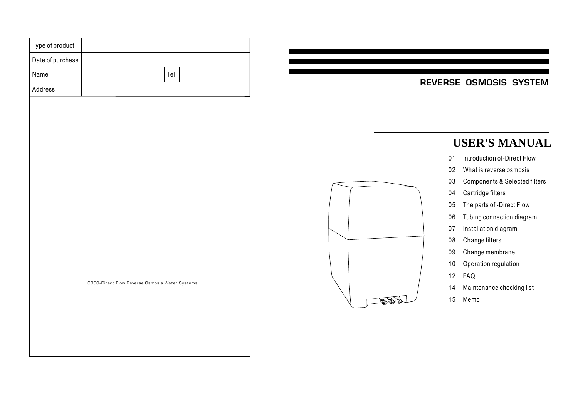| Type of product  |                                                |
|------------------|------------------------------------------------|
| Date of purchase |                                                |
| Name             | Tel                                            |
| Address          |                                                |
|                  |                                                |
|                  |                                                |
|                  |                                                |
|                  |                                                |
|                  |                                                |
|                  |                                                |
|                  |                                                |
|                  |                                                |
|                  |                                                |
|                  |                                                |
|                  |                                                |
|                  |                                                |
|                  | S800-Direct Flow Reverse Osmosis Water Systems |
|                  |                                                |
|                  |                                                |
|                  |                                                |
|                  |                                                |

### REVERSE OSMOSIS SYSTEM

# **USER'S MANUAL**

- 01 Introduction of-Direct Flow
- 02 What is reverse osmosis
- 03 Components & Selected filters
- 04 Cartridge filters
- 05 The parts of -Direct Flow
- 06 Tubing connection diagram
- 07 Installation diagram
- 08 Change filters
- 09 Change membrane
- 10 Operation regulation
- 12 FAQ
- 14 Maintenance checking list
- 15 Memo

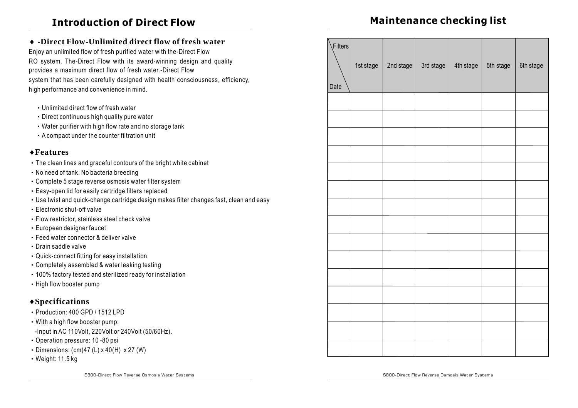### **Introduction of Direct Flow**

## **Maintenance checking list**

### **-Direct Flow-Unlimited direct flow of fresh water** Enjoy an unlimited flow of fresh purified water with the-Direct Flow RO system. The-Direct Flow with its award-winning design and quality provides a maximum direct flow of fresh water.-Direct Flow system that has been carefully designed with health consciousness, efficiency, high performance and convenience in mind. Unlimited direct flow of fresh water ‧ • Direct continuous high quality pure water • Water purifier with high flow rate and no storage tank A compact under the counter filtration unit ‧ ‧ Production: 400 GPD / 1512 LPD ‧ With a high flow booster pump: ‧ Operation pressure: 10 -80 psi • Dimensions: (cm) 47 (L) x 40 (H) x 27 (W) -Input in AC 110Volt, 220Volt or 240Volt (50/60Hz). **Specifications Features** ‧ The clean lines and graceful contours of the bright white cabinet ‧ No need of tank. No bacteria breeding ‧ Complete 5 stage reverse osmosis water filter system ‧ Easy-open lid for easily cartridge filters replaced ‧ Use twist and quick-change cartridge design makes filter changes fast, clean and easy ‧ Electronic shut-off valve ‧ Flow restrictor, stainless steel check valve ‧ European designer faucet ‧ Feed water connector & deliver valve ‧ Drain saddle valve ‧ Quick-connect fitting for easy installation ‧ Completely assembled & water leaking testing ‧ 100% factory tested and sterilized ready for installation ‧ High flow booster pump Date Filters 1st stage  $\vert$  2nd stage  $\vert$  3rd stage  $\vert$  4th stage  $\vert$  5th stage  $\vert$  6th stage

‧ Weight: 11.5 kg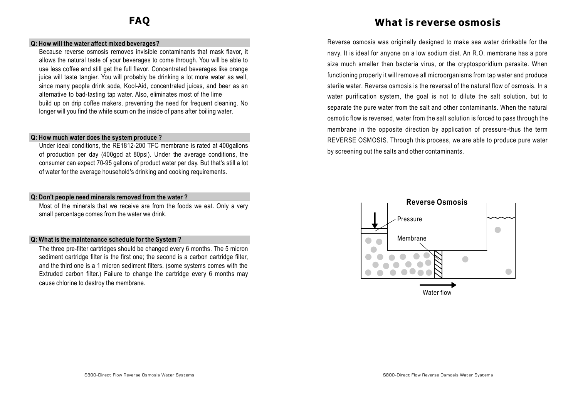#### **Q: How will the water affect mixed beverages?**

Because reverse osmosis removes invisible contaminants that mask flavor, it allows the natural taste of your beverages to come through. You will be able to use less coffee and still get the full flavor. Concentrated beverages like orange juice will taste tangier. You will probably be drinking a lot more water as well, since many people drink soda, Kool-Aid, concentrated juices, and beer as an alternative to bad-tasting tap water. Also, eliminates most of the lime build up on drip coffee makers, preventing the need for frequent cleaning. No longer will you find the white scum on the inside of pans after boiling water.

#### **Q: How much water does the system produce ?**

Under ideal conditions, the RE1812-200 TFC membrane is rated at 400gallons of production per day (400gpd at 80psi). Under the average conditions, the consumer can expect 70-95 gallons of product water per day. But that's still a lot of water for the average household's drinking and cooking requirements.

#### **Q: Don't people need minerals removed from the water ?**

Most of the minerals that we receive are from the foods we eat. Only a very small percentage comes from the water we drink.

#### **Q: What is the maintenance schedule for the System ?**

The three pre-filter cartridges should be changed every 6 months. The 5 micron sediment cartridge filter is the first one; the second is a carbon cartridge filter, and the third one is a 1 micron sediment filters. (some systems comes with the Extruded carbon filter.) Failure to change the cartridge every 6 months may cause chlorine to destroy the membrane.

### **What is reverse osmosis**

Reverse osmosis was originally designed to make sea water drinkable for the navy. It is ideal for anyone on a low sodium diet. An R.O. membrane has a pore size much smaller than bacteria virus, or the cryptosporidium parasite. When functioning properly it will remove all microorganisms from tap water and produce sterile water. Reverse osmosis is the reversal of the natural flow of osmosis. In a water purification system, the goal is not to dilute the salt solution, but to separate the pure water from the salt and other contaminants. When the natural osmotic flow is reversed, water from the salt solution is forced to pass through the membrane in the opposite direction by application of pressure-thus the term REVERSE OSMOSIS. Through this process, we are able to produce pure water by screening out the salts and other contaminants.

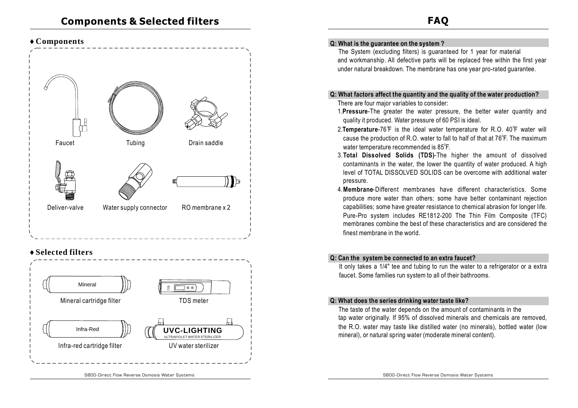### **Components**



### **Selected filters**



#### **Q: What is the guarantee on the system ?**

The System (excluding filters) is guaranteed for 1 year for material and workmanship. All defective parts will be replaced free within the first year under natural breakdown. The membrane has one year pro-rated guarantee.

#### **Q: What factors affect the quantity and the quality of the water production?**

There are four major variables to consider:

- 1. Pressure-The greater the water pressure, the better water quantity and quality it produced. Water pressure of 60 PSI is ideal.
- 2. Temperature-76<sup>°</sup>F is the ideal water temperature for R.O. 40<sup>°</sup>F water will cause the production of R.O. water to fall to half of that at  $76^{\circ}$ F. The maximum water temperature recommended is 85 $\mathrm{^o}\mathsf{F}.$
- 3. Total Dissolved Solids (TDS)-The higher the amount of dissolved contaminants in the water, the lower the quantity of water produced. A high level of TOTAL DISSOLVED SOLIDS can be overcome with additional water pressure.
- 4. Membrane-Different membranes have different characteristics. Some produce more water than others; some have better contaminant rejection capabilities; some have greater resistance to chemical abrasion for longer life. Pure-Pro system includes RE1812-200 The Thin Film Composite (TFC) membranes combine the best of these characteristics and are considered the finest membrane in the world.

#### **Q: Can the system be connected to an extra faucet?**

It only takes a 1/4" tee and tubing to run the water to a refrigerator or a extra faucet. Some families run system to all of their bathrooms.

#### **Q: What does the series drinking water taste like?**

The taste of the water depends on the amount of contaminants in the tap water originally. If 95% of dissolved minerals and chemicals are removed, the R.O. water may taste like distilled water (no minerals), bottled water (low mineral), or natural spring water (moderate mineral content).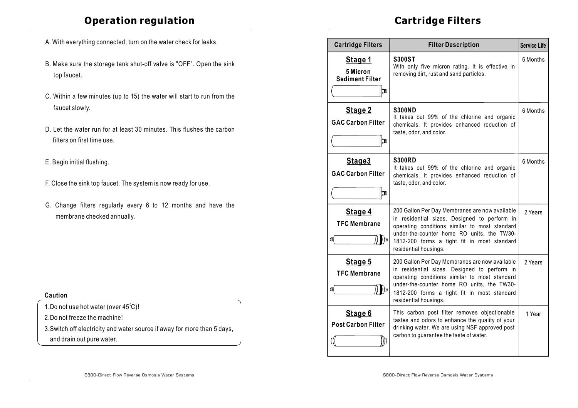### **Operation regulation**

- A. With everything connected, turn on the water check for leaks.
- B. Make sure the storage tank shut-off valve is "OFF". Open the sink top faucet.
- C. Within a few minutes (up to 15) the water will start to run from the faucet slowly.
- D. Let the water run for at least 30 minutes. This flushes the carbon filters on first time use.
- E. Begin initial flushing.
- F. Close the sink top faucet. The system is now ready for use.
- G. Change filters regularly every 6 to 12 months and have the membrane checked annually.

| Caution |  |
|---------|--|
|         |  |

1. Do not use hot water (over  $45^{\circ}$ C)!

2.Do not freeze the machine!

3.Switch off electricity and water source if away for more than 5 days, and drain out pure water.

# **Cartridge Filters**

| <b>Cartridge Filters</b>                                  | <b>Filter Description</b>                                                                                                                                                                                                                                             | <b>Service Life</b> |
|-----------------------------------------------------------|-----------------------------------------------------------------------------------------------------------------------------------------------------------------------------------------------------------------------------------------------------------------------|---------------------|
| Stage 1<br>5 Micron<br><b>Sediment Filter</b><br>¦CN      | <b>S300ST</b><br>With only five micron rating. It is effective in<br>removing dirt, rust and sand particles.                                                                                                                                                          | 6 Months            |
| Stage 2<br><b>GAC Carbon Filter</b><br>$\mathbf{r}_\circ$ | <b>S300ND</b><br>It takes out 99% of the chlorine and organic<br>chemicals. It provides enhanced reduction of<br>taste, odor, and color.                                                                                                                              | 6 Months            |
| Stage3<br><b>GAC Carbon Filter</b><br> ¦CNI               | <b>S300RD</b><br>It takes out 99% of the chlorine and organic<br>chemicals. It provides enhanced reduction of<br>taste, odor, and color.                                                                                                                              | 6 Months            |
| Stage 4<br><b>TFC Membrane</b><br>। । ⊳<br>CO             | 200 Gallon Per Day Membranes are now available<br>in residential sizes. Designed to perform in<br>operating conditions similar to most standard<br>under-the-counter home RO units, the TW30-<br>1812-200 forms a tight fit in most standard<br>residential housings. | 2 Years             |
| Stage 5<br><b>TFC Membrane</b><br>CU                      | 200 Gallon Per Day Membranes are now available<br>in residential sizes. Designed to perform in<br>operating conditions similar to most standard<br>under-the-counter home RO units, the TW30-<br>1812-200 forms a tight fit in most standard<br>residential housings. | 2 Years             |
| Stage 6<br><b>Post Carbon Filter</b>                      | This carbon post filter removes objectionable<br>tastes and odors to enhance the quality of your<br>drinking water. We are using NSF approved post<br>carbon to guarantee the taste of water.                                                                         | 1 Year              |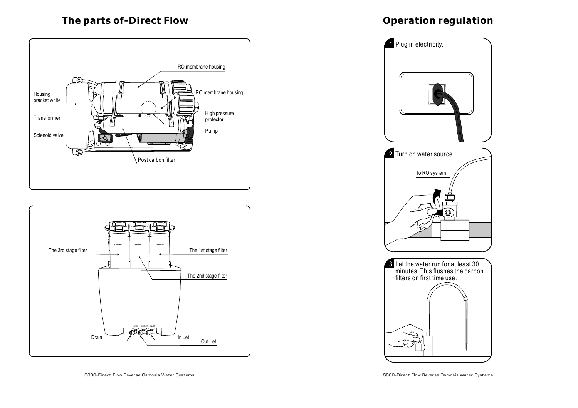







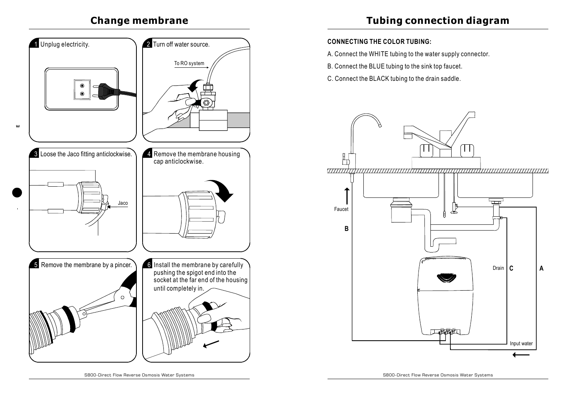# **Change membrane**



**Tubing connection diagram**

### **CONNECTING THE COLOR TUBING:**

- A. Connect the WHITE tubing to the water supply connector.
- B. Connect the BLUE tubing to the sink top faucet.
- C. Connect the BLACK tubing to the drain saddle.